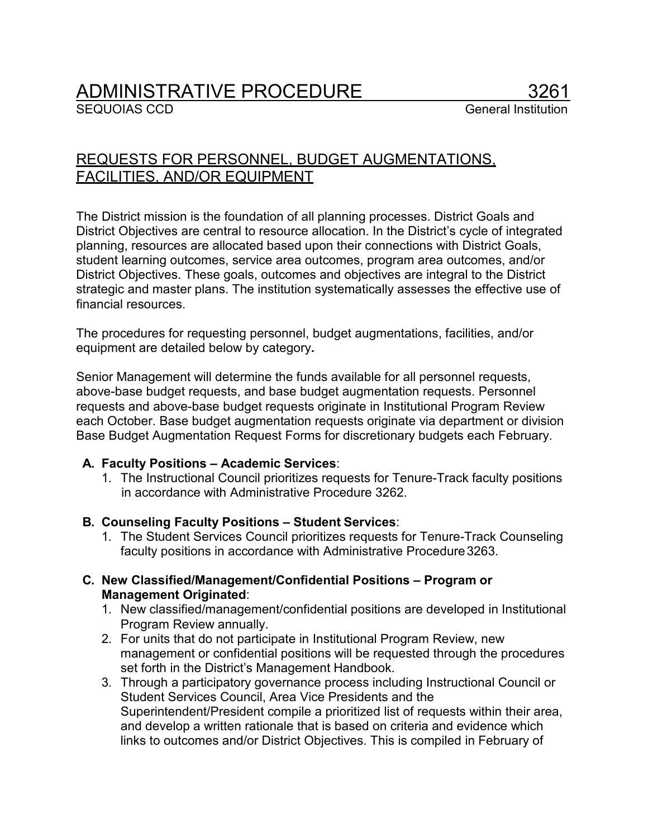# ADMINISTRATIVE PROCEDURE

**SEQUOIAS CCD** General Institution

# REQUESTS FOR PERSONNEL, BUDGET AUGMENTATIONS, FACILITIES, AND/OR EQUIPMENT

The District mission is the foundation of all planning processes. District Goals and District Objectives are central to resource allocation. In the District's cycle of integrated planning, resources are allocated based upon their connections with District Goals, student learning outcomes, service area outcomes, program area outcomes, and/or District Objectives. These goals, outcomes and objectives are integral to the District strategic and master plans. The institution systematically assesses the effective use of financial resources.

The procedures for requesting personnel, budget augmentations, facilities, and/or equipment are detailed below by category**.**

Senior Management will determine the funds available for all personnel requests, above-base budget requests, and base budget augmentation requests. Personnel requests and above-base budget requests originate in Institutional Program Review each October. Base budget augmentation requests originate via department or division Base Budget Augmentation Request Forms for discretionary budgets each February.

## **A. Faculty Positions – Academic Services**:

1. The Instructional Council prioritizes requests for Tenure-Track faculty positions in accordance with Administrative Procedure 3262.

#### **B. Counseling Faculty Positions – Student Services**:

1. The Student Services Council prioritizes requests for Tenure-Track Counseling faculty positions in accordance with Administrative Procedure3263.

#### **C. New Classified/Management/Confidential Positions – Program or Management Originated**:

- 1. New classified/management/confidential positions are developed in Institutional Program Review annually.
- 2. For units that do not participate in Institutional Program Review, new management or confidential positions will be requested through the procedures set forth in the District's Management Handbook.
- 3. Through a participatory governance process including Instructional Council or Student Services Council, Area Vice Presidents and the Superintendent/President compile a prioritized list of requests within their area, and develop a written rationale that is based on criteria and evidence which links to outcomes and/or District Objectives. This is compiled in February of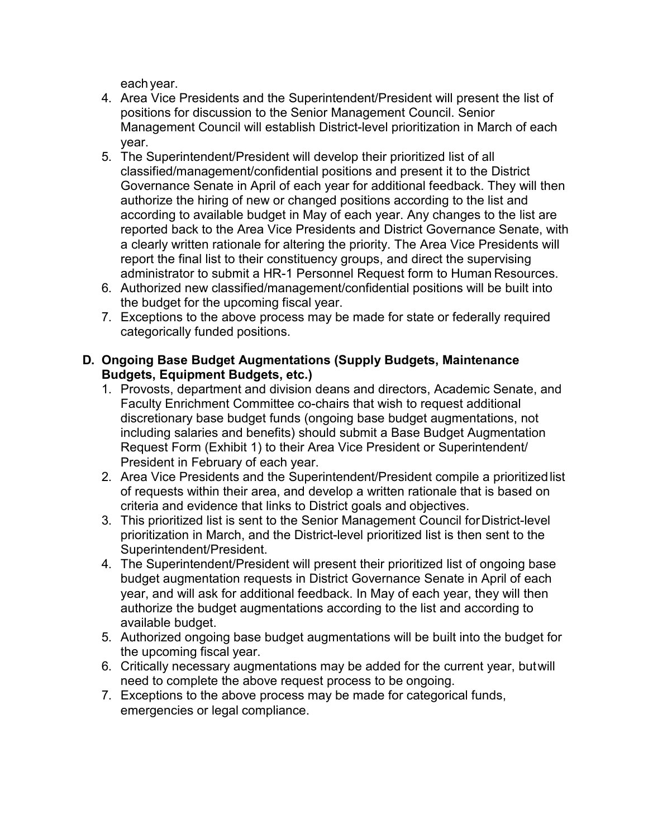eachyear.

- 4. Area Vice Presidents and the Superintendent/President will present the list of positions for discussion to the Senior Management Council. Senior Management Council will establish District-level prioritization in March of each year.
- 5. The Superintendent/President will develop their prioritized list of all classified/management/confidential positions and present it to the District Governance Senate in April of each year for additional feedback. They will then authorize the hiring of new or changed positions according to the list and according to available budget in May of each year. Any changes to the list are reported back to the Area Vice Presidents and District Governance Senate, with a clearly written rationale for altering the priority. The Area Vice Presidents will report the final list to their constituency groups, and direct the supervising administrator to submit a HR-1 Personnel Request form to Human Resources.
- 6. Authorized new classified/management/confidential positions will be built into the budget for the upcoming fiscal year.
- 7. Exceptions to the above process may be made for state or federally required categorically funded positions.

## **D. Ongoing Base Budget Augmentations (Supply Budgets, Maintenance Budgets, Equipment Budgets, etc.)**

- 1. Provosts, department and division deans and directors, Academic Senate, and Faculty Enrichment Committee co-chairs that wish to request additional discretionary base budget funds (ongoing base budget augmentations, not including salaries and benefits) should submit a Base Budget Augmentation Request Form (Exhibit 1) to their Area Vice President or Superintendent/ President in February of each year.
- 2. Area Vice Presidents and the Superintendent/President compile a prioritizedlist of requests within their area, and develop a written rationale that is based on criteria and evidence that links to District goals and objectives.
- 3. This prioritized list is sent to the Senior Management Council forDistrict-level prioritization in March, and the District-level prioritized list is then sent to the Superintendent/President.
- 4. The Superintendent/President will present their prioritized list of ongoing base budget augmentation requests in District Governance Senate in April of each year, and will ask for additional feedback. In May of each year, they will then authorize the budget augmentations according to the list and according to available budget.
- 5. Authorized ongoing base budget augmentations will be built into the budget for the upcoming fiscal year.
- 6. Critically necessary augmentations may be added for the current year, butwill need to complete the above request process to be ongoing.
- 7. Exceptions to the above process may be made for categorical funds, emergencies or legal compliance.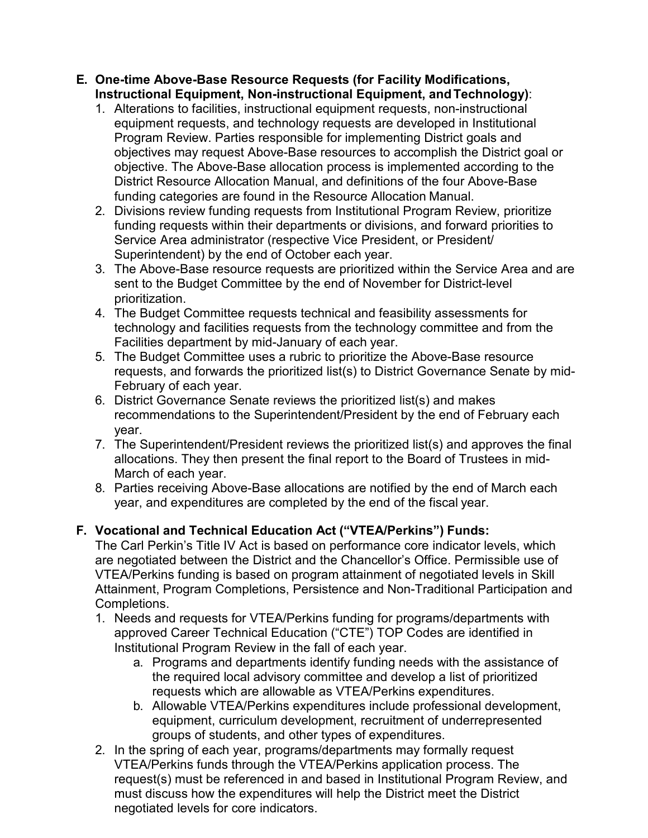#### **E. One-time Above-Base Resource Requests (for Facility Modifications, Instructional Equipment, Non-instructional Equipment, andTechnology)**:

- 1. Alterations to facilities, instructional equipment requests, non-instructional equipment requests, and technology requests are developed in Institutional Program Review. Parties responsible for implementing District goals and objectives may request Above-Base resources to accomplish the District goal or objective. The Above-Base allocation process is implemented according to the District Resource Allocation Manual, and definitions of the four Above-Base funding categories are found in the Resource Allocation Manual.
- 2. Divisions review funding requests from Institutional Program Review, prioritize funding requests within their departments or divisions, and forward priorities to Service Area administrator (respective Vice President, or President/ Superintendent) by the end of October each year.
- 3. The Above-Base resource requests are prioritized within the Service Area and are sent to the Budget Committee by the end of November for District-level prioritization.
- 4. The Budget Committee requests technical and feasibility assessments for technology and facilities requests from the technology committee and from the Facilities department by mid-January of each year.
- 5. The Budget Committee uses a rubric to prioritize the Above-Base resource requests, and forwards the prioritized list(s) to District Governance Senate by mid-February of each year.
- 6. District Governance Senate reviews the prioritized list(s) and makes recommendations to the Superintendent/President by the end of February each year.
- 7. The Superintendent/President reviews the prioritized list(s) and approves the final allocations. They then present the final report to the Board of Trustees in mid-March of each year.
- 8. Parties receiving Above-Base allocations are notified by the end of March each year, and expenditures are completed by the end of the fiscal year.

# **F. Vocational and Technical Education Act ("VTEA/Perkins") Funds:**

The Carl Perkin's Title IV Act is based on performance core indicator levels, which are negotiated between the District and the Chancellor's Office. Permissible use of VTEA/Perkins funding is based on program attainment of negotiated levels in Skill Attainment, Program Completions, Persistence and Non-Traditional Participation and Completions.

- 1. Needs and requests for VTEA/Perkins funding for programs/departments with approved Career Technical Education ("CTE") TOP Codes are identified in Institutional Program Review in the fall of each year.
	- a. Programs and departments identify funding needs with the assistance of the required local advisory committee and develop a list of prioritized requests which are allowable as VTEA/Perkins expenditures.
	- b. Allowable VTEA/Perkins expenditures include professional development, equipment, curriculum development, recruitment of underrepresented groups of students, and other types of expenditures.
- 2. In the spring of each year, programs/departments may formally request VTEA/Perkins funds through the VTEA/Perkins application process. The request(s) must be referenced in and based in Institutional Program Review, and must discuss how the expenditures will help the District meet the District negotiated levels for core indicators.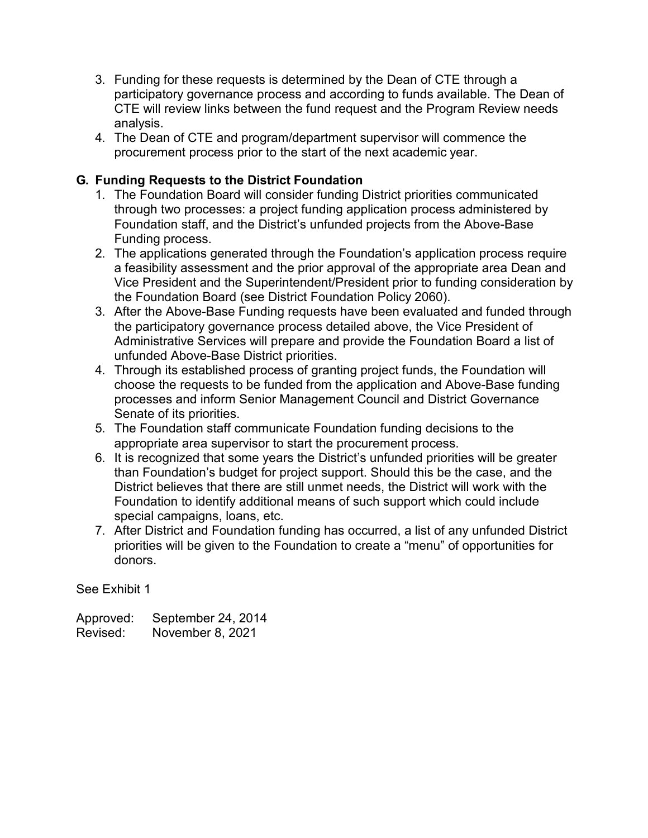- 3. Funding for these requests is determined by the Dean of CTE through a participatory governance process and according to funds available. The Dean of CTE will review links between the fund request and the Program Review needs analysis.
- 4. The Dean of CTE and program/department supervisor will commence the procurement process prior to the start of the next academic year.

# **G. Funding Requests to the District Foundation**

- 1. The Foundation Board will consider funding District priorities communicated through two processes: a project funding application process administered by Foundation staff, and the District's unfunded projects from the Above-Base Funding process.
- 2. The applications generated through the Foundation's application process require a feasibility assessment and the prior approval of the appropriate area Dean and Vice President and the Superintendent/President prior to funding consideration by the Foundation Board (see District Foundation Policy 2060).
- 3. After the Above-Base Funding requests have been evaluated and funded through the participatory governance process detailed above, the Vice President of Administrative Services will prepare and provide the Foundation Board a list of unfunded Above-Base District priorities.
- 4. Through its established process of granting project funds, the Foundation will choose the requests to be funded from the application and Above-Base funding processes and inform Senior Management Council and District Governance Senate of its priorities.
- 5. The Foundation staff communicate Foundation funding decisions to the appropriate area supervisor to start the procurement process.
- 6. It is recognized that some years the District's unfunded priorities will be greater than Foundation's budget for project support. Should this be the case, and the District believes that there are still unmet needs, the District will work with the Foundation to identify additional means of such support which could include special campaigns, loans, etc.
- 7. After District and Foundation funding has occurred, a list of any unfunded District priorities will be given to the Foundation to create a "menu" of opportunities for donors.

See Exhibit 1

Approved: September 24, 2014 Revised: November 8, 2021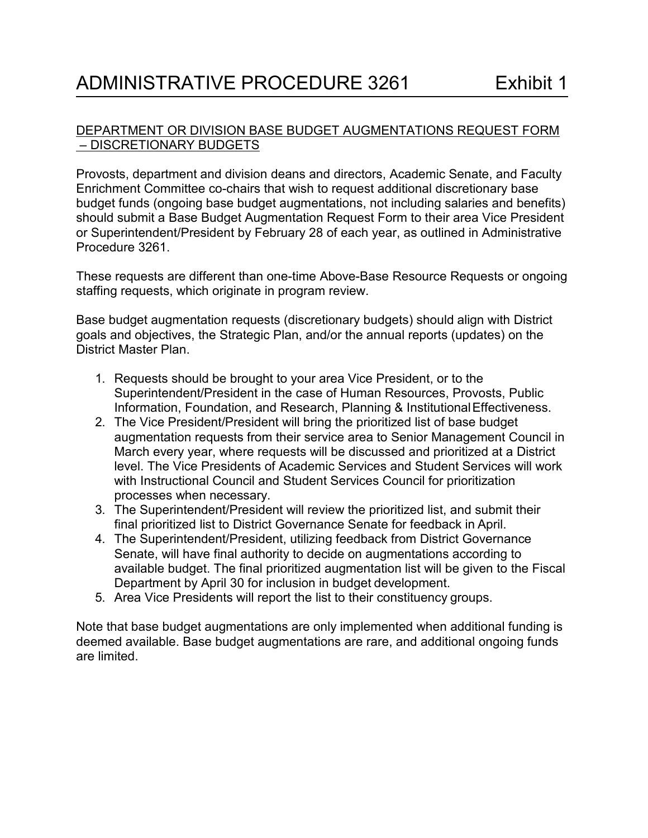#### DEPARTMENT OR DIVISION BASE BUDGET AUGMENTATIONS REQUEST FORM – DISCRETIONARY BUDGETS

Provosts, department and division deans and directors, Academic Senate, and Faculty Enrichment Committee co-chairs that wish to request additional discretionary base budget funds (ongoing base budget augmentations, not including salaries and benefits) should submit a Base Budget Augmentation Request Form to their area Vice President or Superintendent/President by February 28 of each year, as outlined in Administrative Procedure 3261.

These requests are different than one-time Above-Base Resource Requests or ongoing staffing requests, which originate in program review.

Base budget augmentation requests (discretionary budgets) should align with District goals and objectives, the Strategic Plan, and/or the annual reports (updates) on the District Master Plan.

- 1. Requests should be brought to your area Vice President, or to the Superintendent/President in the case of Human Resources, Provosts, Public Information, Foundation, and Research, Planning & Institutional Effectiveness.
- 2. The Vice President/President will bring the prioritized list of base budget augmentation requests from their service area to Senior Management Council in March every year, where requests will be discussed and prioritized at a District level. The Vice Presidents of Academic Services and Student Services will work with Instructional Council and Student Services Council for prioritization processes when necessary.
- 3. The Superintendent/President will review the prioritized list, and submit their final prioritized list to District Governance Senate for feedback in April.
- 4. The Superintendent/President, utilizing feedback from District Governance Senate, will have final authority to decide on augmentations according to available budget. The final prioritized augmentation list will be given to the Fiscal Department by April 30 for inclusion in budget development.
- 5. Area Vice Presidents will report the list to their constituency groups.

Note that base budget augmentations are only implemented when additional funding is deemed available. Base budget augmentations are rare, and additional ongoing funds are limited.